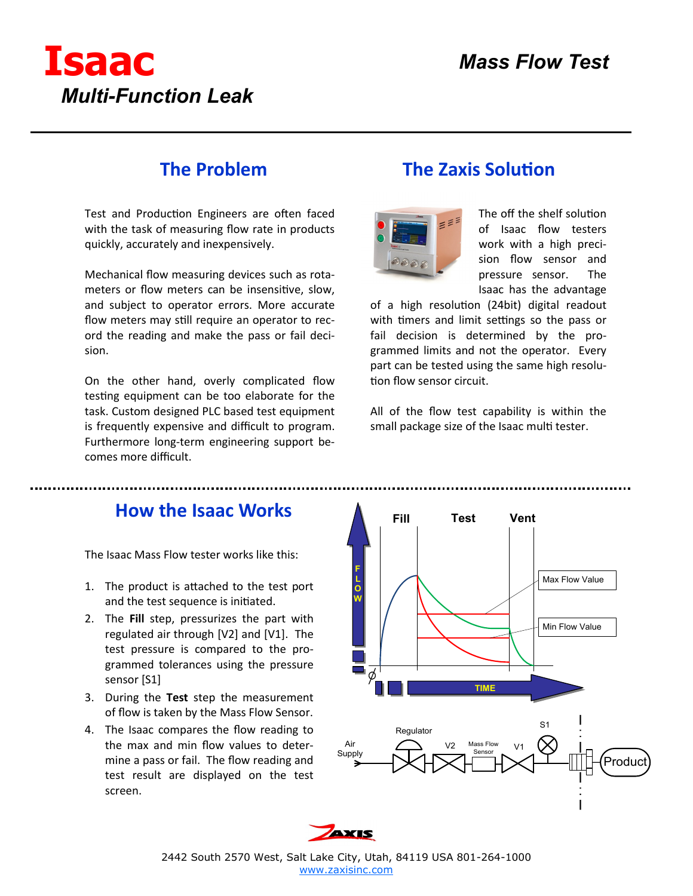

## **The Problem**

Test and Production Engineers are often faced with the task of measuring flow rate in products quickly, accurately and inexpensively.

Mechanical flow measuring devices such as rotameters or flow meters can be insensitive, slow, and subject to operator errors. More accurate flow meters may still require an operator to record the reading and make the pass or fail decision.

On the other hand, overly complicated flow testing equipment can be too elaborate for the task. Custom designed PLC based test equipment is frequently expensive and difficult to program. Furthermore long-term engineering support becomes more difficult.

## **The Zaxis Solution**



The off the shelf solution of Isaac flow testers work with a high precision flow sensor and pressure sensor. The Isaac has the advantage

of a high resolution (24bit) digital readout with timers and limit settings so the pass or fail decision is determined by the programmed limits and not the operator. Every part can be tested using the same high resolution flow sensor circuit.

All of the flow test capability is within the small package size of the Isaac multi tester.

#### **How the Isaac Works**

The Isaac Mass Flow tester works like this:

- 1. The product is attached to the test port and the test sequence is initiated.
- 2. The **Fill** step, pressurizes the part with regulated air through [V2] and [V1]. The test pressure is compared to the programmed tolerances using the pressure sensor [S1]
- 3. During the **Test** step the measurement of flow is taken by the Mass Flow Sensor.
- 4. The Isaac compares the flow reading to the max and min flow values to determine a pass or fail. The flow reading and test result are displayed on the test screen.